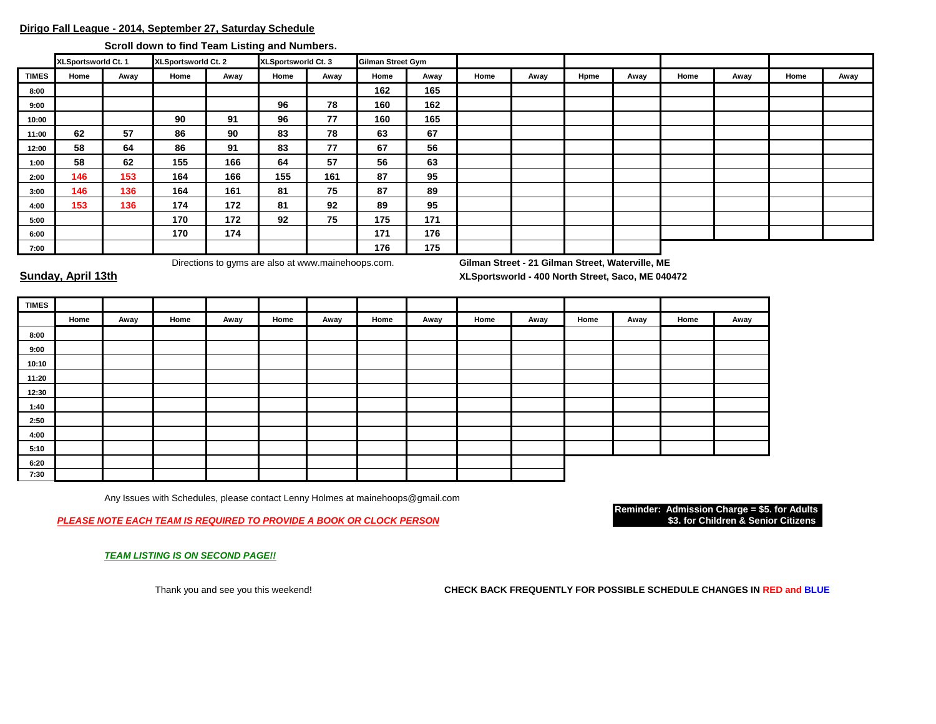# **Dirigo Fall League - 2014, September 27, Saturday Schedule**

**Scroll down to find Team Listing and Numbers.** 

|              | XLSportsworld Ct. 1 |      | XLSportsworld Ct. 2 |      | <b>XLSportsworld Ct. 3</b> |      | <b>Gilman Street Gym</b> |      |      |      |      |      |      |      |      |      |
|--------------|---------------------|------|---------------------|------|----------------------------|------|--------------------------|------|------|------|------|------|------|------|------|------|
| <b>TIMES</b> | Home                | Away | Home                | Away | Home                       | Away | Home                     | Away | Home | Away | Hpme | Away | Home | Away | Home | Away |
| 8:00         |                     |      |                     |      |                            |      | 162                      | 165  |      |      |      |      |      |      |      |      |
| 9:00         |                     |      |                     |      | 96                         | 78   | 160                      | 162  |      |      |      |      |      |      |      |      |
| 10:00        |                     |      | 90                  | 91   | 96                         | 77   | 160                      | 165  |      |      |      |      |      |      |      |      |
| 11:00        | 62                  | 57   | 86                  | 90   | 83                         | 78   | 63                       | 67   |      |      |      |      |      |      |      |      |
| 12:00        | 58                  | 64   | 86                  | 91   | 83                         | 77   | 67                       | 56   |      |      |      |      |      |      |      |      |
| 1:00         | 58                  | 62   | 155                 | 166  | 64                         | 57   | 56                       | 63   |      |      |      |      |      |      |      |      |
| 2:00         | 146                 | 153  | 164                 | 166  | 155                        | 161  | 87                       | 95   |      |      |      |      |      |      |      |      |
| 3:00         | 146                 | 136  | 164                 | 161  | 81                         | 75   | 87                       | 89   |      |      |      |      |      |      |      |      |
| 4:00         | 153                 | 136  | 174                 | 172  | 81                         | 92   | 89                       | 95   |      |      |      |      |      |      |      |      |
| 5:00         |                     |      | 170                 | 172  | 92                         | 75   | 175                      | 171  |      |      |      |      |      |      |      |      |
| 6:00         |                     |      | 170                 | 174  |                            |      | 171                      | 176  |      |      |      |      |      |      |      |      |
| 7:00         |                     |      |                     |      |                            |      | 176                      | 175  |      |      |      |      |      |      |      |      |

Directions to gyms are also at www.mainehoops.com. **Gilman Street - 21 Gilman Street, Waterville, ME**

**Sunday, April 13th XLSportsworld - 400 North Street, Saco, ME 040472**

| <b>TIMES</b> |      |      |      |      |      |      |      |      |      |      |      |      |      |      |
|--------------|------|------|------|------|------|------|------|------|------|------|------|------|------|------|
|              | Home | Away | Home | Away | Home | Away | Home | Away | Home | Away | Home | Away | Home | Away |
| 8:00         |      |      |      |      |      |      |      |      |      |      |      |      |      |      |
| 9:00         |      |      |      |      |      |      |      |      |      |      |      |      |      |      |
| 10:10        |      |      |      |      |      |      |      |      |      |      |      |      |      |      |
| 11:20        |      |      |      |      |      |      |      |      |      |      |      |      |      |      |
| 12:30        |      |      |      |      |      |      |      |      |      |      |      |      |      |      |
| 1:40         |      |      |      |      |      |      |      |      |      |      |      |      |      |      |
| 2:50         |      |      |      |      |      |      |      |      |      |      |      |      |      |      |
| 4:00         |      |      |      |      |      |      |      |      |      |      |      |      |      |      |
| 5:10         |      |      |      |      |      |      |      |      |      |      |      |      |      |      |
| 6:20         |      |      |      |      |      |      |      |      |      |      |      |      |      |      |
| 7:30         |      |      |      |      |      |      |      |      |      |      |      |      |      |      |

Any Issues with Schedules, please contact Lenny Holmes at mainehoops@gmail.com

**PLEASE NOTE EACH TEAM IS REQUIRED TO PROVIDE A BOOK OR CLOCK PERSON** 

**Reminder: Admission Charge = \$5. for Adults**

*TEAM LISTING IS ON SECOND PAGE!!*

Thank you and see you this weekend! **CHECK BACK FREQUENTLY FOR POSSIBLE SCHEDULE CHANGES IN RED and BLUE**